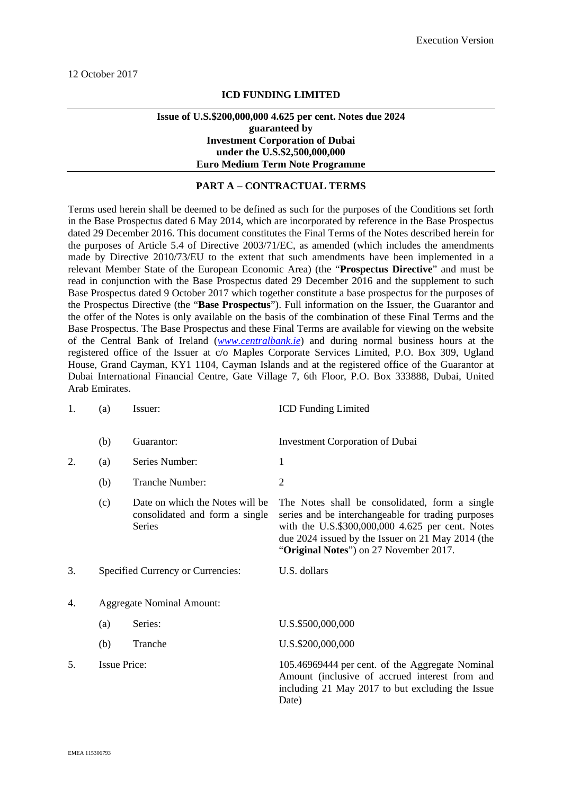### **ICD FUNDING LIMITED**

### **Issue of U.S.\$200,000,000 4.625 per cent. Notes due 2024 guaranteed by Investment Corporation of Dubai under the U.S.\$2,500,000,000 Euro Medium Term Note Programme**

#### **PART A – CONTRACTUAL TERMS**

Terms used herein shall be deemed to be defined as such for the purposes of the Conditions set forth in the Base Prospectus dated 6 May 2014, which are incorporated by reference in the Base Prospectus dated 29 December 2016. This document constitutes the Final Terms of the Notes described herein for the purposes of Article 5.4 of Directive 2003/71/EC, as amended (which includes the amendments made by Directive 2010/73/EU to the extent that such amendments have been implemented in a relevant Member State of the European Economic Area) (the "**Prospectus Directive**" and must be read in conjunction with the Base Prospectus dated 29 December 2016 and the supplement to such Base Prospectus dated 9 October 2017 which together constitute a base prospectus for the purposes of the Prospectus Directive (the "**Base Prospectus**"). Full information on the Issuer, the Guarantor and the offer of the Notes is only available on the basis of the combination of these Final Terms and the Base Prospectus. The Base Prospectus and these Final Terms are available for viewing on the website of the Central Bank of Ireland (*www.centralbank.ie*) and during normal business hours at the registered office of the Issuer at c/o Maples Corporate Services Limited, P.O. Box 309, Ugland House, Grand Cayman, KY1 1104, Cayman Islands and at the registered office of the Guarantor at Dubai International Financial Centre, Gate Village 7, 6th Floor, P.O. Box 333888, Dubai, United Arab Emirates.

| 1. | (a)                              | Issuer:                                                                     | <b>ICD Funding Limited</b>                                                                                                                                                                                                                              |
|----|----------------------------------|-----------------------------------------------------------------------------|---------------------------------------------------------------------------------------------------------------------------------------------------------------------------------------------------------------------------------------------------------|
|    | (b)                              | Guarantor:                                                                  | <b>Investment Corporation of Dubai</b>                                                                                                                                                                                                                  |
| 2. | (a)                              | Series Number:                                                              | 1                                                                                                                                                                                                                                                       |
|    | (b)                              | Tranche Number:                                                             | $\overline{2}$                                                                                                                                                                                                                                          |
|    | (c)                              | Date on which the Notes will be<br>consolidated and form a single<br>Series | The Notes shall be consolidated, form a single<br>series and be interchangeable for trading purposes<br>with the U.S.\$300,000,000 4.625 per cent. Notes<br>due 2024 issued by the Issuer on 21 May 2014 (the<br>"Original Notes") on 27 November 2017. |
| 3. |                                  | Specified Currency or Currencies:                                           | U.S. dollars                                                                                                                                                                                                                                            |
| 4. | <b>Aggregate Nominal Amount:</b> |                                                                             |                                                                                                                                                                                                                                                         |
|    | (a)                              | Series:                                                                     | U.S.\$500,000,000                                                                                                                                                                                                                                       |
|    | (b)                              | Tranche                                                                     | U.S.\$200,000,000                                                                                                                                                                                                                                       |
| 5. | <b>Issue Price:</b>              |                                                                             | 105.46969444 per cent. of the Aggregate Nominal<br>Amount (inclusive of accrued interest from and<br>including 21 May 2017 to but excluding the Issue<br>Date)                                                                                          |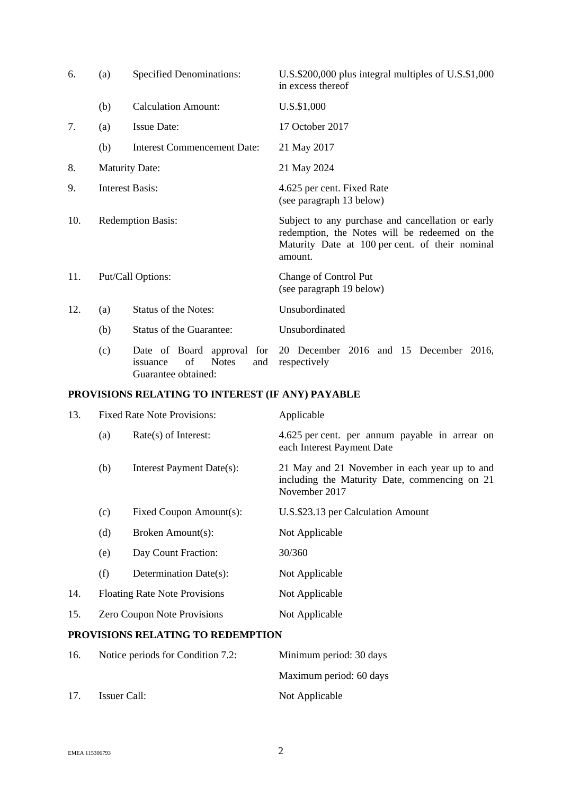| 6.                                               | (a)                      | <b>Specified Denominations:</b>                              | U.S.\$200,000 plus integral multiples of U.S.\$1,000<br>in excess thereof                                                                                        |  |
|--------------------------------------------------|--------------------------|--------------------------------------------------------------|------------------------------------------------------------------------------------------------------------------------------------------------------------------|--|
|                                                  | (b)                      | <b>Calculation Amount:</b>                                   | U.S.\$1,000                                                                                                                                                      |  |
| 7.                                               | (a)                      | <b>Issue Date:</b>                                           | 17 October 2017                                                                                                                                                  |  |
|                                                  | (b)                      | <b>Interest Commencement Date:</b>                           | 21 May 2017                                                                                                                                                      |  |
| 8.                                               | <b>Maturity Date:</b>    |                                                              | 21 May 2024                                                                                                                                                      |  |
| 9.                                               | <b>Interest Basis:</b>   |                                                              | 4.625 per cent. Fixed Rate<br>(see paragraph 13 below)                                                                                                           |  |
| 10.                                              | <b>Redemption Basis:</b> |                                                              | Subject to any purchase and cancellation or early<br>redemption, the Notes will be redeemed on the<br>Maturity Date at 100 per cent. of their nominal<br>amount. |  |
| 11.                                              | Put/Call Options:        |                                                              | Change of Control Put<br>(see paragraph 19 below)                                                                                                                |  |
| 12.                                              | (a)                      | <b>Status of the Notes:</b>                                  | Unsubordinated                                                                                                                                                   |  |
|                                                  | (b)                      | <b>Status of the Guarantee:</b>                              | Unsubordinated                                                                                                                                                   |  |
|                                                  | (c)                      | of<br><b>Notes</b><br>and<br>issuance<br>Guarantee obtained: | Date of Board approval for 20 December 2016 and 15 December 2016,<br>respectively                                                                                |  |
| PROVISIONS RELATING TO INTEREST (IF ANY) PAYABLE |                          |                                                              |                                                                                                                                                                  |  |
| 12 <sup>1</sup>                                  |                          | Eired Deta Meta Drovisioner                                  | $\lambda$ probabile                                                                                                                                              |  |

| 13. | Fixed Rate Note Provisions:          |                           | Applicable                                                                                                      |  |
|-----|--------------------------------------|---------------------------|-----------------------------------------------------------------------------------------------------------------|--|
|     | (a)                                  | $Rate(s)$ of Interest:    | 4.625 per cent. per annum payable in arrear on<br>each Interest Payment Date                                    |  |
|     | (b)                                  | Interest Payment Date(s): | 21 May and 21 November in each year up to and<br>including the Maturity Date, commencing on 21<br>November 2017 |  |
|     | (c)                                  | Fixed Coupon Amount(s):   | U.S.\$23.13 per Calculation Amount                                                                              |  |
|     | (d)                                  | Broken Amount(s):         | Not Applicable                                                                                                  |  |
|     | (e)                                  | Day Count Fraction:       | 30/360                                                                                                          |  |
|     | (f)                                  | Determination Date(s):    | Not Applicable                                                                                                  |  |
| 14. | <b>Floating Rate Note Provisions</b> |                           | Not Applicable                                                                                                  |  |
| 15. | <b>Zero Coupon Note Provisions</b>   |                           | Not Applicable                                                                                                  |  |
|     |                                      |                           |                                                                                                                 |  |

# **PROVISIONS RELATING TO REDEMPTION**

| 16. | Notice periods for Condition 7.2: | Minimum period: 30 days |
|-----|-----------------------------------|-------------------------|
|     |                                   | Maximum period: 60 days |
| 17. | Issuer Call:                      | Not Applicable          |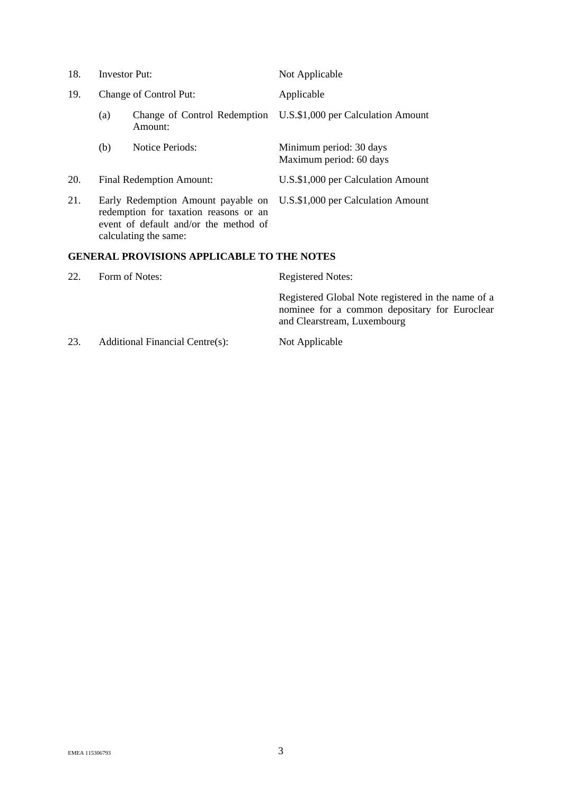| 18. | <b>Investor Put:</b>                                                                                                                          |                                         | Not Applicable                                     |
|-----|-----------------------------------------------------------------------------------------------------------------------------------------------|-----------------------------------------|----------------------------------------------------|
| 19. | Change of Control Put:                                                                                                                        |                                         | Applicable                                         |
|     | (a)                                                                                                                                           | Change of Control Redemption<br>Amount: | U.S.\$1,000 per Calculation Amount                 |
|     | (b)                                                                                                                                           | <b>Notice Periods:</b>                  | Minimum period: 30 days<br>Maximum period: 60 days |
| 20. | Final Redemption Amount:                                                                                                                      |                                         | U.S.\$1,000 per Calculation Amount                 |
| 21. | Early Redemption Amount payable on<br>redemption for taxation reasons or an<br>event of default and/or the method of<br>calculating the same: |                                         | U.S.\$1,000 per Calculation Amount                 |

## **GENERAL PROVISIONS APPLICABLE TO THE NOTES**

| 22. | Form of Notes:                  | <b>Registered Notes:</b>                                                                                                           |  |
|-----|---------------------------------|------------------------------------------------------------------------------------------------------------------------------------|--|
|     |                                 | Registered Global Note registered in the name of a<br>nominee for a common depositary for Euroclear<br>and Clearstream, Luxembourg |  |
| 23. | Additional Financial Centre(s): | Not Applicable                                                                                                                     |  |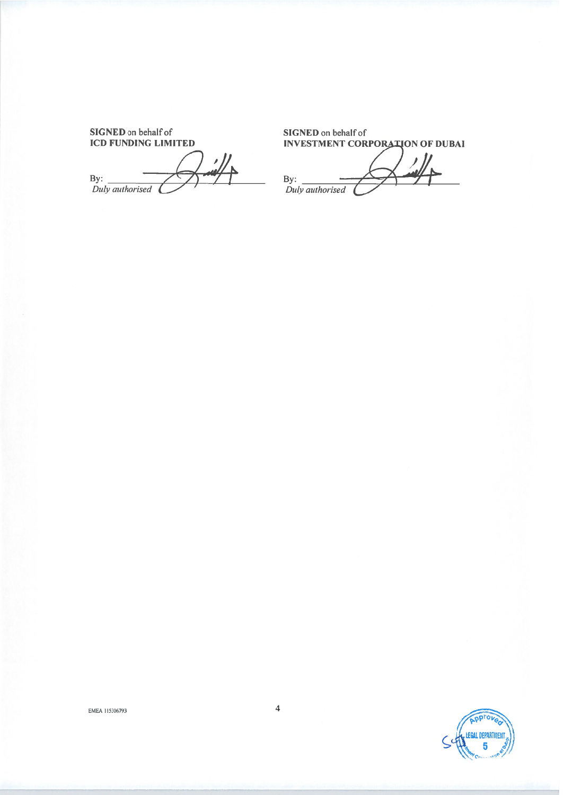SIGNED on behalf of **ICD FUNDING LIMITED** 

 $\frac{\prime}{\mu}$  $\overline{K}$ 

**SIGNED** on behalf of **INVESTMENT CORPORATION OF DUBAL** 

By:  $\frac{1}{2}$ <br>Duly authorised

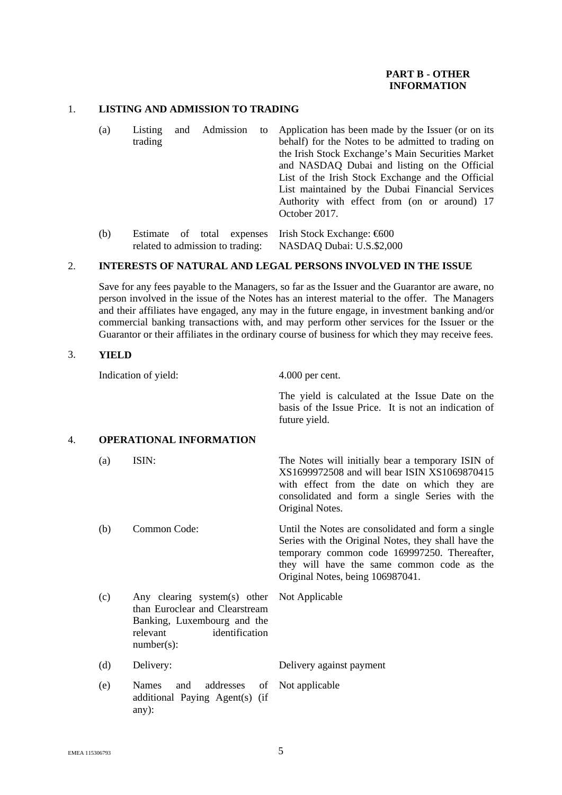## **PART B - OTHER INFORMATION**

### 1. **LISTING AND ADMISSION TO TRADING**

- (a) Listing and Admission to trading Application has been made by the Issuer (or on its behalf) for the Notes to be admitted to trading on the Irish Stock Exchange's Main Securities Market and NASDAQ Dubai and listing on the Official List of the Irish Stock Exchange and the Official List maintained by the Dubai Financial Services Authority with effect from (on or around) 17 October 2017.
- (b) Estimate of total expenses related to admission to trading: Irish Stock Exchange: €600 NASDAQ Dubai: U.S.\$2,000

#### 2. **INTERESTS OF NATURAL AND LEGAL PERSONS INVOLVED IN THE ISSUE**

Save for any fees payable to the Managers, so far as the Issuer and the Guarantor are aware, no person involved in the issue of the Notes has an interest material to the offer. The Managers and their affiliates have engaged, any may in the future engage, in investment banking and/or commercial banking transactions with, and may perform other services for the Issuer or the Guarantor or their affiliates in the ordinary course of business for which they may receive fees.

#### 3. **YIELD**

Indication of yield: 4.000 per cent.

The yield is calculated at the Issue Date on the basis of the Issue Price. It is not an indication of future yield.

## 4. **OPERATIONAL INFORMATION**

(a) ISIN: The Notes will initially bear a temporary ISIN of XS1699972508 and will bear ISIN XS1069870415 with effect from the date on which they are consolidated and form a single Series with the Original Notes.

(b) Common Code: Until the Notes are consolidated and form a single Series with the Original Notes, they shall have the temporary common code 169997250. Thereafter, they will have the same common code as the Original Notes, being 106987041.

- (c) Any clearing system(s) other than Euroclear and Clearstream Banking, Luxembourg and the relevant identification number(s): Not Applicable
- (d) Delivery: Delivery against payment
- (e) Names and addresses of additional Paying Agent(s) (if any): Not applicable